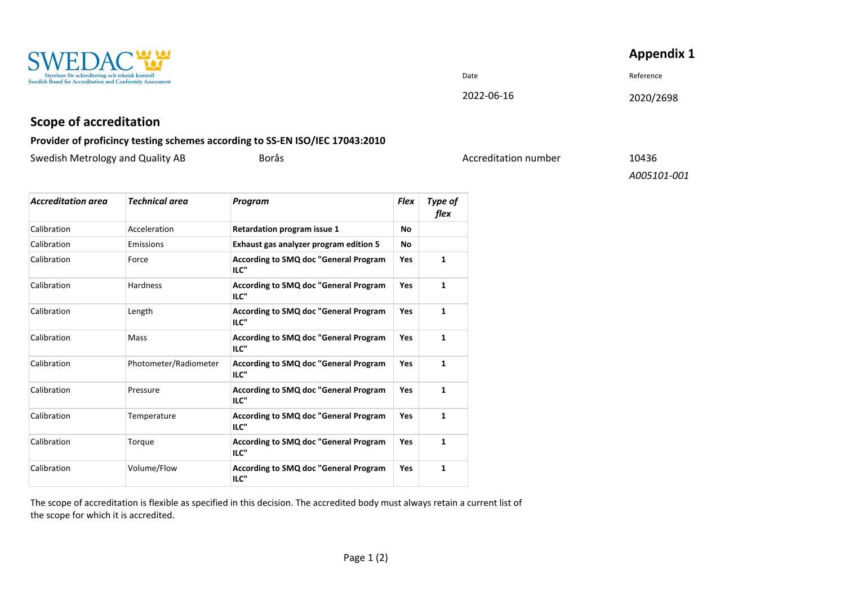| <b>Appendix 1</b> |  |
|-------------------|--|
|-------------------|--|



## Date **Date** Reference

## 2022-06-16 2020/2698

## **Scope of accreditation**

## **Provider of proficincy testing schemes according to SS-EN ISO/IEC 17043:2010**

| Swedish Metrology and Quality AB |  |  |
|----------------------------------|--|--|
|                                  |  |  |

Borås **Metrology and Accreditation number** 10436

*A005101-001*

| <b>Accreditation area</b> | <b>Technical area</b> | Program                                              | <b>Flex</b> | Type of<br>flex |
|---------------------------|-----------------------|------------------------------------------------------|-------------|-----------------|
| Calibration               | Acceleration          | Retardation program issue 1                          | <b>No</b>   |                 |
| Calibration               | Emissions             | Exhaust gas analyzer program edition 5               | No          |                 |
| Calibration               | Force                 | <b>According to SMQ doc "General Program</b><br>ILC" | <b>Yes</b>  | 1               |
| Calibration               | <b>Hardness</b>       | <b>According to SMQ doc "General Program</b><br>ILC" | Yes         | 1               |
| Calibration               | Length                | <b>According to SMQ doc "General Program</b><br>ILC" | <b>Yes</b>  | $\mathbf{1}$    |
| Calibration               | <b>Mass</b>           | <b>According to SMQ doc "General Program</b><br>ILC" | Yes         | $\mathbf{1}$    |
| Calibration               | Photometer/Radiometer | <b>According to SMQ doc "General Program</b><br>ILC" | <b>Yes</b>  | 1               |
| Calibration               | Pressure              | <b>According to SMQ doc "General Program</b><br>ILC" | <b>Yes</b>  | $\mathbf{1}$    |
| Calibration               | Temperature           | <b>According to SMQ doc "General Program</b><br>ILC" | Yes         | $\mathbf{1}$    |
| Calibration               | Torque                | <b>According to SMQ doc "General Program</b><br>ILC" | <b>Yes</b>  | $\mathbf{1}$    |
| Calibration               | Volume/Flow           | <b>According to SMQ doc "General Program</b><br>ILC" | <b>Yes</b>  | 1               |

The scope of accreditation is flexible as specified in this decision. The accredited body must always retain a current list of the scope for which it is accredited.